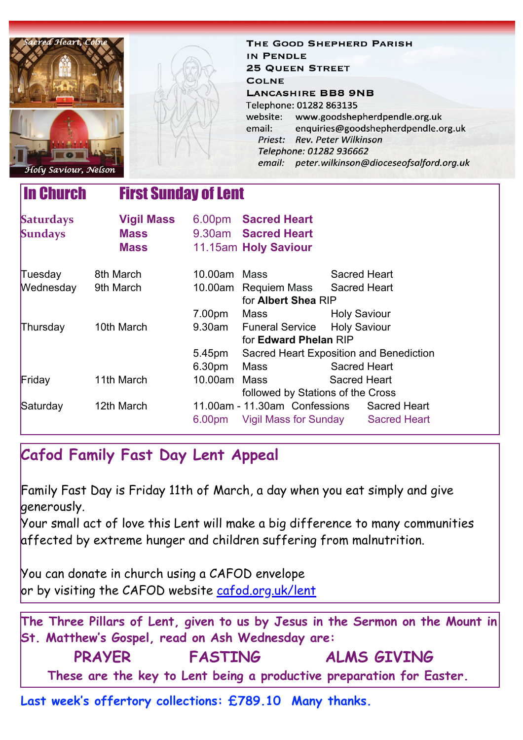| acred Heart, Colne<br>Holy Saviour, Nelson      |                   |                    | THE GOOD SHEPHERD PARISH<br>IN PENDLE<br><b>25 QUEEN STREET</b><br><b>COLNE</b><br><b>LANCASHIRE BB8 9NB</b><br>Telephone: 01282 863135<br>website: www.goodshepherdpendle.org.uk<br>email:<br>Priest: Rev. Peter Wilkinson<br>Telephone: 01282 936662 |                                         | enquiries@goodshepherdpendle.org.uk<br>email: peter.wilkinson@dioceseofsalford.org.uk |  |
|-------------------------------------------------|-------------------|--------------------|--------------------------------------------------------------------------------------------------------------------------------------------------------------------------------------------------------------------------------------------------------|-----------------------------------------|---------------------------------------------------------------------------------------|--|
| <b>In Church</b><br><b>First Sunday of Lent</b> |                   |                    |                                                                                                                                                                                                                                                        |                                         |                                                                                       |  |
| <b>Saturdays</b>                                | <b>Vigil Mass</b> |                    | 6.00pm Sacred Heart                                                                                                                                                                                                                                    |                                         |                                                                                       |  |
| <b>Sundays</b>                                  | <b>Mass</b>       |                    | 9.30am Sacred Heart                                                                                                                                                                                                                                    |                                         |                                                                                       |  |
|                                                 | <b>Mass</b>       |                    | 11.15am Holy Saviour                                                                                                                                                                                                                                   |                                         |                                                                                       |  |
| Tuesday                                         | 8th March         | 10.00am Mass       |                                                                                                                                                                                                                                                        | Sacred Heart                            |                                                                                       |  |
| Wednesday                                       | 9th March         |                    | 10.00am Requiem Mass                                                                                                                                                                                                                                   | <b>Sacred Heart</b>                     |                                                                                       |  |
|                                                 |                   |                    | for Albert Shea RIP                                                                                                                                                                                                                                    |                                         |                                                                                       |  |
|                                                 |                   | 7.00pm             | Mass                                                                                                                                                                                                                                                   | <b>Holy Saviour</b>                     |                                                                                       |  |
| Thursday                                        | 10th March        | 9.30am             | <b>Funeral Service</b>                                                                                                                                                                                                                                 | <b>Holy Saviour</b>                     |                                                                                       |  |
|                                                 |                   |                    | for Edward Phelan RIP                                                                                                                                                                                                                                  |                                         |                                                                                       |  |
|                                                 |                   | 5.45pm             |                                                                                                                                                                                                                                                        | Sacred Heart Exposition and Benediction |                                                                                       |  |
|                                                 |                   | 6.30pm             | <b>Mass</b>                                                                                                                                                                                                                                            | <b>Sacred Heart</b>                     |                                                                                       |  |
| Friday                                          | 11th March        | 10.00am            | Mass                                                                                                                                                                                                                                                   | <b>Sacred Heart</b>                     |                                                                                       |  |
|                                                 |                   |                    | followed by Stations of the Cross                                                                                                                                                                                                                      |                                         |                                                                                       |  |
| Saturday                                        | 12th March        |                    | 11.00am - 11.30am Confessions                                                                                                                                                                                                                          |                                         | <b>Sacred Heart</b>                                                                   |  |
|                                                 |                   | 6.00 <sub>pm</sub> | Vigil Mass for Sunday Sacred Heart                                                                                                                                                                                                                     |                                         |                                                                                       |  |

# **Cafod Family Fast Day Lent Appeal**

Family Fast Day is Friday 11th of March, a day when you eat simply and give generously.

Your small act of love this Lent will make a big difference to many communities affected by extreme hunger and children suffering from malnutrition.

You can donate in church using a CAFOD envelope or by visiting the CAFOD website [cafod.org.uk/lent](https://gbr01.safelinks.protection.outlook.com/?url=http%3A%2F%2Fcafod.org.uk%2Flent&data=04%7C01%7Cpeter.wilkinson%40dioceseofsalford.org.uk%7C8b72a1b384004c19c83208d9fb9e4dde%7C699a61ae142a45a090c604b2f08de19b%7C0%7C0%7C637817479589812118%7CUnknown%7CTWFpbGZsb3d8eyJWIjoiMC4wLjAwMDAiLCJQIjoiV2luMzIiLCJBTiI6Ik1haWwiLCJXVCI6Mn0%3D%7C3000&sdata=v38oHUilWnRJxJAve1A%2F1bC5WiA85QSexQp%2FX3lInRs%3D&reserved=0)



**Last week's offertory collections: £789.10 Many thanks.**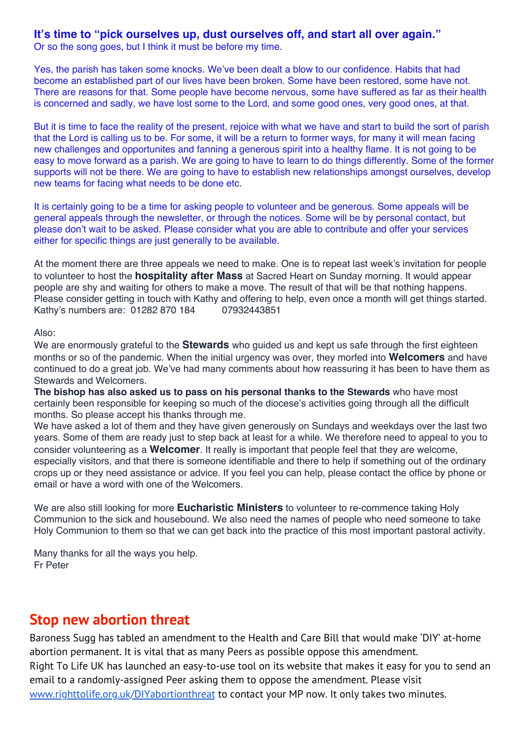### **It's time to "pick ourselves up, dust ourselves off, and start all over again."**

Or so the song goes, but I think it must be before my time.

Yes, the parish has taken some knocks. We've been dealt a blow to our confidence. Habits that had become an established part of our lives have been broken. Some have been restored, some have not. There are reasons for that. Some people have become nervous, some have suffered as far as their health is concerned and sadly, we have lost some to the Lord, and some good ones, very good ones, at that.

But it is time to face the reality of the present, rejoice with what we have and start to build the sort of parish that the Lord is calling us to be. For some, it will be a return to former ways, for many it will mean facing new challenges and opportunites and fanning a generous spirit into a healthy flame. It is not going to be easy to move forward as a parish. We are going to have to learn to do things differently. Some of the former supports will not be there. We are going to have to establish new relationships amongst ourselves, develop new teams for facing what needs to be done etc.

It is certainly going to be a time for asking people to volunteer and be generous. Some appeals will be general appeals through the newsletter, or through the notices. Some will be by personal contact, but please don't wait to be asked. Please consider what you are able to contribute and offer your services either for specific things are just generally to be available.

At the moment there are three appeals we need to make. One is to repeat last week's invitation for people to volunteer to host the **hospitality after Mass** at Sacred Heart on Sunday morning. It would appear people are shy and waiting for others to make a move. The result of that will be that nothing happens. Please consider getting in touch with Kathy and offering to help, even once a month will get things started. Kathy's numbers are: 01282 870 184 07932443851

#### Also:

We are enormously grateful to the **Stewards** who guided us and kept us safe through the first eighteen months or so of the pandemic. When the initial urgency was over, they morfed into **Welcomers** and have continued to do a great job. We've had many comments about how reassuring it has been to have them as Stewards and Welcomers.

**The bishop has also asked us to pass on his personal thanks to the Stewards** who have most certainly been responsible for keeping so much of the diocese's activities going through all the difficult months. So please accept his thanks through me.

We have asked a lot of them and they have given generously on Sundays and weekdays over the last two years. Some of them are ready just to step back at least for a while. We therefore need to appeal to you to consider volunteering as a **Welcomer**. It really is important that people feel that they are welcome, especially visitors, and that there is someone identifiable and there to help if something out of the ordinary crops up or they need assistance or advice. If you feel you can help, please contact the office by phone or email or have a word with one of the Welcomers.

We are also still looking for more **Eucharistic Ministers** to volunteer to re-commence taking Holy Communion to the sick and housebound. We also need the names of people who need someone to take Holy Communion to them so that we can get back into the practice of this most important pastoral activity.

Many thanks for all the ways you help. Fr Peter

### **Stop new abortion threat**

Baroness Sugg has tabled an amendment to the Health and Care Bill that would make 'DIY' at-home abortion permanent. It is vital that as many Peers as possible oppose this amendment. Right To Life UK has launched an easy-to-use tool on its website that makes it easy for you to send an email to a randomly-assigned Peer asking them to oppose the amendment. Please visit [www.righttolife.org.uk/DIYabortionthreat](https://gbr01.safelinks.protection.outlook.com/?url=http%3A%2F%2Fwww.righttolife.org.uk%2FDIYabortionthreat&data=04%7C01%7Cpeter.wilkinson%40dioceseofsalford.org.uk%7C32819fc48d4647de86ca08d9fd2dd490%7C699a61ae142a45a090c604b2f08de19b%7C0%7C0%7C637819195592745682%7CUnknown%7CTWFpbGZsb3d8eyJWIjoiMC4wLjAwMDAiLCJQIjoiV2luMzIiLCJBTiI6Ik1haWwiLCJXVCI6Mn0%3D%7C3000&sdata=PBbjPuxgctlc0yASvk9jYl745k9m7DEApn9G5uGNLVQ%3D&reserved=0) to contact your MP now. It only takes two minutes.